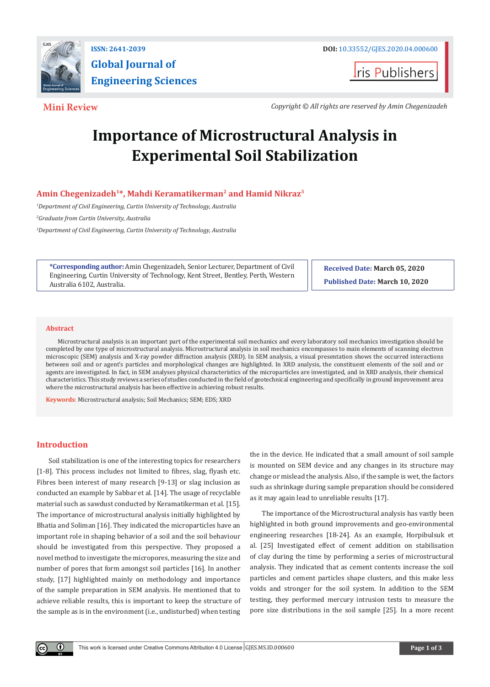

**t**ris Publishers

**Mini Review** *Copyright © All rights are reserved by Amin Chegenizadeh*

# **Importance of Microstructural Analysis in Experimental Soil Stabilization**

# **Amin Chegenizadeh1\*, Mahdi Keramatikerman2 and Hamid Nikraz3**

*1 Department of Civil Engineering, Curtin University of Technology, Australia*

*2 Graduate from Curtin University, Australia*

*3 Department of Civil Engineering, Curtin University of Technology, Australia*

**\*Corresponding author:** Amin Chegenizadeh, Senior Lecturer, Department of Civil Engineering, Curtin University of Technology, Kent Street, Bentley, Perth, Western Australia 6102, Australia.

**Received Date: March 05, 2020 Published Date: March 10, 2020**

#### **Abstract**

Microstructural analysis is an important part of the experimental soil mechanics and every laboratory soil mechanics investigation should be completed by one type of microstructural analysis. Microstructural analysis in soil mechanics encompasses to main elements of scanning electron microscopic (SEM) analysis and X-ray powder diffraction analysis (XRD). In SEM analysis, a visual presentation shows the occurred interactions between soil and or agent's particles and morphological changes are highlighted. In XRD analysis, the constituent elements of the soil and or agents are investigated. In fact, in SEM analyses physical characteristics of the microparticles are investigated, and in XRD analysis, their chemical characteristics. This study reviews a series of studies conducted in the field of geotechnical engineering and specifically in ground improvement area where the microstructural analysis has been effective in achieving robust results.

**Keywords**: Microstructural analysis; Soil Mechanics; SEM; EDS; XRD

# **Introduction**

 $\left( \cdot \right)$ 

Soil stabilization is one of the interesting topics for researchers [1-8]. This process includes not limited to fibres, slag, flyash etc. Fibres been interest of many research [9-13] or slag inclusion as conducted an example by Sabbar et al. [14]. The usage of recyclable material such as sawdust conducted by Keramatikerman et al. [15]. The importance of microstructural analysis initially highlighted by Bhatia and Soliman [16]. They indicated the microparticles have an important role in shaping behavior of a soil and the soil behaviour should be investigated from this perspective. They proposed a novel method to investigate the micropores, measuring the size and number of pores that form amongst soil particles [16]. In another study, [17] highlighted mainly on methodology and importance of the sample preparation in SEM analysis. He mentioned that to achieve reliable results, this is important to keep the structure of the sample as is in the environment (i.e., undisturbed) when testing the in the device. He indicated that a small amount of soil sample is mounted on SEM device and any changes in its structure may change or mislead the analysis. Also, if the sample is wet, the factors such as shrinkage during sample preparation should be considered as it may again lead to unreliable results [17].

The importance of the Microstructural analysis has vastly been highlighted in both ground improvements and geo-environmental engineering researches [18-24]. As an example, Horpibulsuk et al. [25] Investigated effect of cement addition on stabilisation of clay during the time by performing a series of microstructural analysis. They indicated that as cement contents increase the soil particles and cement particles shape clusters, and this make less voids and stronger for the soil system. In addition to the SEM testing, they performed mercury intrusion tests to measure the pore size distributions in the soil sample [25]. In a more recent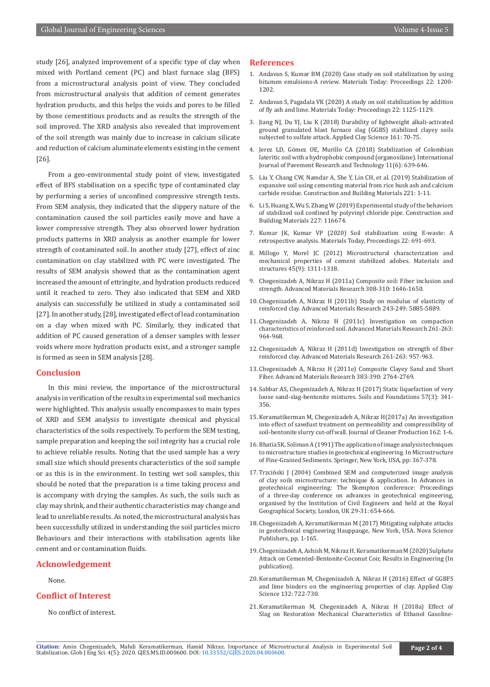study [26], analyzed improvement of a specific type of clay when mixed with Portland cement (PC) and blast furnace slag (BFS) from a microstructural analysis point of view. They concluded from microstructural analysis that addition of cement generates hydration products, and this helps the voids and pores to be filled by those cementitious products and as results the strength of the soil improved. The XRD analysis also revealed that improvement of the soil strength was mainly due to increase in calcium silicate and reduction of calcium aluminate elements existing in the cement [26].

From a geo-environmental study point of view, investigated effect of BFS stabilisation on a specific type of contaminated clay by performing a series of unconfined compressive strength tests. From SEM analysis, they indicated that the slippery nature of the contamination caused the soil particles easily move and have a lower compressive strength. They also observed lower hydration products patterns in XRD analysis as another example for lower strength of contaminated soil. In another study [27], effect of zinc contamination on clay stabilized with PC were investigated. The results of SEM analysis showed that as the contamination agent increased the amount of ettringite, and hydration products reduced until it reached to zero. They also indicated that SEM and XRD analysis can successfully be utilized in study a contaminated soil [27]. In another study, [28], investigated effect of lead contamination on a clay when mixed with PC. Similarly, they indicated that addition of PC caused generation of a denser samples with lesser voids where more hydration products exist, and a stronger sample is formed as seen in SEM analysis [28].

# **Conclusion**

In this mini review, the importance of the microstructural analysis in verification of the results in experimental soil mechanics were highlighted. This analysis usually encompasses to main types of XRD and SEM analysis to investigate chemical and physical characteristics of the soils respectively. To perform the SEM testing, sample preparation and keeping the soil integrity has a crucial role to achieve reliable results. Noting that the used sample has a very small size which should presents characteristics of the soil sample or as this is in the environment. In testing wet soil samples, this should be noted that the preparation is a time taking process and is accompany with drying the samples. As such, the soils such as clay may shrink, and their authentic characteristics may change and lead to unreliable results. As noted, the microstructural analysis has been successfully utilized in understanding the soil particles micro Behaviours and their interactions with stabilisation agents like cement and or contamination fluids.

#### **Acknowledgement**

None.

# **Conflict of Interest**

No conflict of interest.

#### **References**

- 1. [Andavan S, Kumar BM \(2020\) Case study on soil stabilization by using](https://www.sciencedirect.com/science/article/pii/S221478531934132X)  [bitumen emulsions-A review. Materials Today: Proceedings 22: 1200-](https://www.sciencedirect.com/science/article/pii/S221478531934132X) [1202.](https://www.sciencedirect.com/science/article/pii/S221478531934132X)
- 2. [Andavan S, Pagadala VK \(2020\) A study on soil stabilization by addition](https://www.sciencedirect.com/science/article/pii/S221478531934009X)  [of fly ash and lime. Materials Today: Proceedings 22: 1125-1129.](https://www.sciencedirect.com/science/article/pii/S221478531934009X)
- 3. [Jiang NJ, Du YJ, Liu K \(2018\) Durability of lightweight alkali-activated](https://www.sciencedirect.com/science/article/abs/pii/S0169131718301741)  [ground granulated blast furnace slag \(GGBS\) stabilized clayey soils](https://www.sciencedirect.com/science/article/abs/pii/S0169131718301741)  [subjected to sulfate attack. Applied Clay Science 161: 70-75.](https://www.sciencedirect.com/science/article/abs/pii/S0169131718301741)
- 4. [Jerez LD, Gómez OE, Murillo CA \(2018\) Stabilization of Colombian](https://www.sciencedirect.com/science/article/pii/S1996681417302213)  [lateritic soil with a hydrophobic compound \(organosilane\). International](https://www.sciencedirect.com/science/article/pii/S1996681417302213)  [Journal of Pavement Research and Technology 11\(6\): 639-646.](https://www.sciencedirect.com/science/article/pii/S1996681417302213)
- 5. [Liu Y, Chang CW, Namdar A, She Y, Lin CH, et al. \(2019\) Stabilization of](https://www.sciencedirect.com/science/article/abs/pii/S0950061819313364)  [expansive soil using cementing material from rice husk ash and calcium](https://www.sciencedirect.com/science/article/abs/pii/S0950061819313364)  [carbide residue. Construction and Building Materials 221: 1-11.](https://www.sciencedirect.com/science/article/abs/pii/S0950061819313364)
- 6. [Li S, Huang X, Wu S, Zhang W \(2019\) Experimental study of the behaviors](https://www.sciencedirect.com/science/article/abs/pii/S0950061819320902)  [of stabilized soil confined by polyvinyl chloride pipe. Construction and](https://www.sciencedirect.com/science/article/abs/pii/S0950061819320902)  [Building Materials 227: 116674.](https://www.sciencedirect.com/science/article/abs/pii/S0950061819320902)
- 7. Kumar JK, Kumar VP (2020) Soil stabilization using E-waste: A retrospective analysis. Materials Today, Proceedings 22: 691-693.
- 8. Millogo Y, Morel JC (2012) Microstructural characterization and mechanical properties of cement stabilized adobes. Materials and structures 45(9): 1311-1318.
- 9. Chegenizadeh A, Nikraz H (2011a) Composite soil: Fiber inclusion and strength. Advanced Materials Research 308-310: 1646-1650.
- 10. Chegenizadeh A, Nikraz H (2011b) Study on modulus of elasticity of reinforced clay. Advanced Materials Research 243-249: 5885-5889.
- 11. Chegenizadeh A, Nikraz H (2011c) Investigation on compaction characteristics of reinforced soil. Advanced Materials Research 261-263: 964-968.
- 12. Chegenizadeh A, Nikraz H (2011d) Investigation on strength of fiber reinforced clay. Advanced Materials Research 261-263: 957-963.
- 13. Chegenizadeh A, Nikraz H (2011e) Composite Clayey Sand and Short Fiber. Advanced Materials Research 383-390: 2764-2769.
- 14. Sabbar AS, Chegenizadeh A, Nikraz H (2017) Static liquefaction of very loose sand-slag-bentonite mixtures. Soils and Foundations 57(3): 341- 356.
- 15. [Keramatikerman M, Chegenizadeh A, Nikraz H\(2017a\) An investigation](https://www.sciencedirect.com/science/article/pii/S0959652617311034)  [into effect of sawdust treatment on permeability and compressibility of](https://www.sciencedirect.com/science/article/pii/S0959652617311034)  [soil-bentonite slurry cut-off wall. Journal of Cleaner Production 162: 1-6.](https://www.sciencedirect.com/science/article/pii/S0959652617311034)
- 16. Bhatia SK, Soliman A (1991) The application of image analysis techniques to microstructure studies in geotechnical engineering. In Microstructure of Fine-Grained Sediments. Springer, New York, USA, pp: 367-378.
- 17. Trzciński J (2004) Combined SEM and computerized image analysis of clay soils microstructure: technique & application. In Advances in geotechnical engineering: The Skempton conference: Proceedings of a three-day conference on advances in geotechnical engineering, organised by the Institution of Civil Engineers and held at the Royal Geographical Society, London, UK 29-31: 654-666.
- 18. Chegenizadeh A, Keramatikerman M (2017) Mitigating sulphate attacks in geotechnical engineering Hauppauge, New York, USA. Nova Science Publishers, pp. 1-165.
- 19. Chegenizadeh A, Ashish M, Nikraz H, Keramatikerman M (2020) Sulphate Attack on Cemented-Bentonite-Coconut Coir, Results in Engineering (In publication).
- 20. Keramatikerman M, Chegenizadeh A, Nikraz H (2016) Effect of GGBFS and lime binders on the engineering properties of clay. Applied Clay Science 132: 722-730.
- 21. Keramatikerman M, Chegenizadeh A, Nikraz H (2018a) Effect of Slag on Restoration Mechanical Characteristics of Ethanol Gasoline-